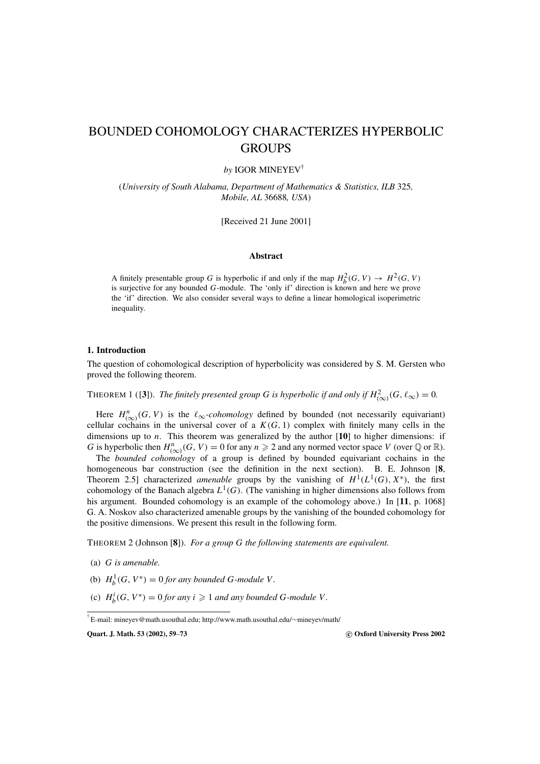# BOUNDED COHOMOLOGY CHARACTERIZES HYPERBOLIC GROUPS

# *by* IGOR MINEYEV†

(*University of South Alabama, Department of Mathematics & Statistics, ILB* 325*, Mobile, AL* 36688*, USA*)

[Received 21 June 2001]

# **Abstract**

A finitely presentable group *G* is hyperbolic if and only if the map  $H_b^2(G, V) \to H^2(G, V)$ is surjective for any bounded *G*-module. The 'only if' direction is known and here we prove the 'if' direction. We also consider several ways to define a linear homological isoperimetric inequality.

#### **1. Introduction**

The question of cohomological description of hyperbolicity was considered by S. M. Gersten who proved the following theorem.

THEOREM 1 ([3]). *The finitely presented group G is hyperbolic if and only if*  $H^2_{(\infty)}(G,\ell_\infty)=0$ .

Here  $H^n_{(\infty)}(G, V)$  is the  $\ell_{\infty}$ -cohomology defined by bounded (not necessarily equivariant) cellular cochains in the universal cover of a  $K(G, 1)$  complex with finitely many cells in the dimensions up to *n*. This theorem was generalized by the author [**10**] to higher dimensions: if *G* is hyperbolic then  $H^n_{(\infty)}(G, V) = 0$  for any  $n \ge 2$  and any normed vector space *V* (over  $\mathbb Q$  or  $\mathbb R$ ).

The *bounded cohomology* of a group is defined by bounded equivariant cochains in the homogeneous bar construction (see the definition in the next section). B. E. Johnson [**8**, Theorem 2.5] characterized *amenable* groups by the vanishing of  $H^1(L^1(G), X^*)$ , the first cohomology of the Banach algebra  $L^1(G)$ . (The vanishing in higher dimensions also follows from his argument. Bounded cohomology is an example of the cohomology above.) In [**11**, p. 1068] G. A. Noskov also characterized amenable groups by the vanishing of the bounded cohomology for the positive dimensions. We present this result in the following form.

THEOREM 2 (Johnson [**8**]). *For a group G the following statements are equivalent.*

- (a) *G is amenable.*
- (b)  $H_b^1(G, V^*) = 0$  *for any bounded G-module V*.
- (c)  $H_b^i(G, V^*) = 0$  *for any i*  $\geq 1$  *and any bounded G-module V*.

**Quart. J. Math. 53 (2002), 59**–**73 c Oxford University Press 2002**

<sup>†</sup> E-mail: mineyev@math.usouthal.edu; http://www.math.usouthal.edu/∼mineyev/math/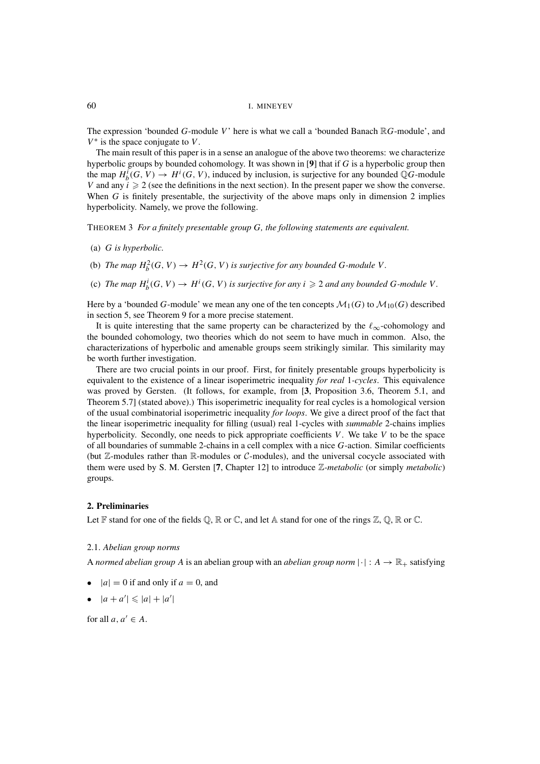The expression 'bounded *G*-module *V*' here is what we call a 'bounded Banach R*G*-module', and *V*<sup>∗</sup> is the space conjugate to *V*.

The main result of this paper is in a sense an analogue of the above two theorems: we characterize hyperbolic groups by bounded cohomology. It was shown in [**9**] that if *G* is a hyperbolic group then the map  $H_b^i(G, V) \to H^i(G, V)$ , induced by inclusion, is surjective for any bounded QG-module *V* and any  $i \geq 2$  (see the definitions in the next section). In the present paper we show the converse. When *G* is finitely presentable, the surjectivity of the above maps only in dimension 2 implies hyperbolicity. Namely, we prove the following.

THEOREM 3 *For a finitely presentable group G, the following statements are equivalent.*

- (a) *G is hyperbolic.*
- (b) *The map*  $H_b^2(G, V) \to H^2(G, V)$  *is surjective for any bounded G-module V*.
- (c) The map  $H_b^i(G, V) \to H^i(G, V)$  is surjective for any  $i \geqslant 2$  and any bounded G-module V.

Here by a 'bounded G-module' we mean any one of the ten concepts  $\mathcal{M}_1(G)$  to  $\mathcal{M}_{10}(G)$  described in section 5, see Theorem 9 for a more precise statement.

It is quite interesting that the same property can be characterized by the  $\ell_{\infty}$ -cohomology and the bounded cohomology, two theories which do not seem to have much in common. Also, the characterizations of hyperbolic and amenable groups seem strikingly similar. This similarity may be worth further investigation.

There are two crucial points in our proof. First, for finitely presentable groups hyperbolicity is equivalent to the existence of a linear isoperimetric inequality *for real* 1*-cycles*. This equivalence was proved by Gersten. (It follows, for example, from [**3**, Proposition 3.6, Theorem 5.1, and Theorem 5.7] (stated above).) This isoperimetric inequality for real cycles is a homological version of the usual combinatorial isoperimetric inequality *for loops*. We give a direct proof of the fact that the linear isoperimetric inequality for filling (usual) real 1-cycles with *summable* 2-chains implies hyperbolicity. Secondly, one needs to pick appropriate coefficients *V*. We take *V* to be the space of all boundaries of summable 2-chains in a cell complex with a nice *G*-action. Similar coefficients (but  $\mathbb{Z}$ -modules rather than R-modules or C-modules), and the universal cocycle associated with them were used by S. M. Gersten [**7**, Chapter 12] to introduce Z*-metabolic* (or simply *metabolic*) groups.

## **2. Preliminaries**

Let  $\mathbb F$  stand for one of the fields  $\mathbb Q$ ,  $\mathbb R$  or  $\mathbb C$ , and let  $\mathbb A$  stand for one of the rings  $\mathbb Z$ ,  $\mathbb Q$ ,  $\mathbb R$  or  $\mathbb C$ .

#### 2.1. *Abelian group norms*

A *normed abelian group* A is an abelian group with an *abelian group norm*  $|\cdot|: A \to \mathbb{R}_+$  satisfying

- $|a| = 0$  if and only if  $a = 0$ , and
- $|a + a'| \leq |a| + |a'|$

for all  $a, a' \in A$ .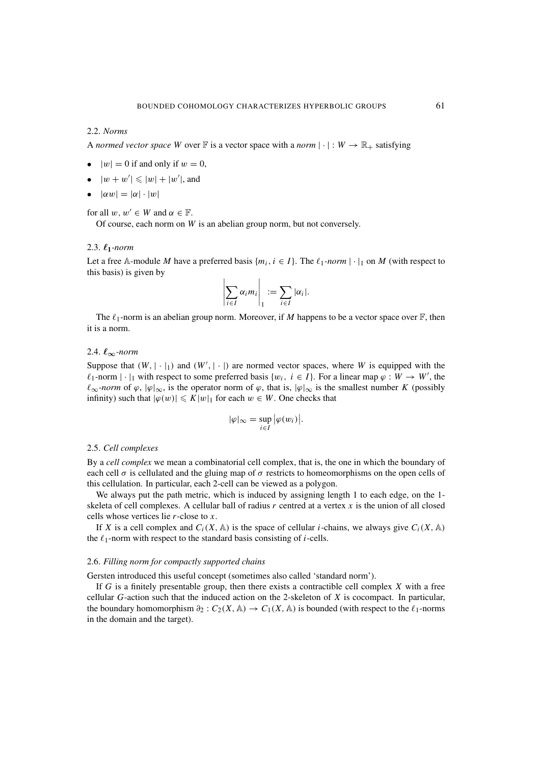# 2.2. *Norms*

A *normed vector space* W over  $\mathbb F$  is a vector space with a *norm*  $|\cdot|: W \to \mathbb R_+$  satisfying

- $|w| = 0$  if and only if  $w = 0$ ,
- $|w+w'| \leqslant |w| + |w'|$ , and
- $|\alpha w| = |\alpha| \cdot |w|$

for all  $w, w' \in W$  and  $\alpha \in \mathbb{F}$ .

Of course, each norm on *W* is an abelian group norm, but not conversely.

# 2.3.  $\ell_1$ *-norm*

Let a free A-module *M* have a preferred basis  $\{m_i, i \in I\}$ . The  $\ell_1$ -norm  $|\cdot|_1$  on *M* (with respect to this basis) is given by

$$
\left|\sum_{i\in I}\alpha_i m_i\right|_1 := \sum_{i\in I} |\alpha_i|.
$$

The  $\ell_1$ -norm is an abelian group norm. Moreover, if *M* happens to be a vector space over  $\mathbb{F}$ , then it is a norm.

# 2.4. *∞-norm*

Suppose that  $(W, \vert \cdot \vert_1)$  and  $(W', \vert \cdot \vert)$  are normed vector spaces, where *W* is equipped with the  $\ell_1$ -norm  $|\cdot|_1$  with respect to some preferred basis  $\{w_i, i \in I\}$ . For a linear map  $\varphi : W \to W'$ , the  $\ell_{\infty}$ *-norm* of  $\varphi$ ,  $|\varphi|_{\infty}$ , is the operator norm of  $\varphi$ , that is,  $|\varphi|_{\infty}$  is the smallest number *K* (possibly infinity) such that  $|\varphi(w)| \leq K|w|_1$  for each  $w \in W$ . One checks that

$$
|\varphi|_{\infty} = \sup_{i \in I} |\varphi(w_i)|.
$$

#### 2.5. *Cell complexes*

By a *cell complex* we mean a combinatorial cell complex, that is, the one in which the boundary of each cell  $\sigma$  is cellulated and the gluing map of  $\sigma$  restricts to homeomorphisms on the open cells of this cellulation. In particular, each 2-cell can be viewed as a polygon.

We always put the path metric, which is induced by assigning length 1 to each edge, on the 1 skeleta of cell complexes. A cellular ball of radius *r* centred at a vertex *x* is the union of all closed cells whose vertices lie *r*-close to *x*.

If *X* is a cell complex and  $C_i(X, A)$  is the space of cellular *i*-chains, we always give  $C_i(X, A)$ the  $\ell_1$ -norm with respect to the standard basis consisting of *i*-cells.

## 2.6. *Filling norm for compactly supported chains*

Gersten introduced this useful concept (sometimes also called 'standard norm').

If *G* is a finitely presentable group, then there exists a contractible cell complex *X* with a free cellular *G*-action such that the induced action on the 2-skeleton of *X* is cocompact. In particular, the boundary homomorphism  $\partial_2$  :  $C_2(X, \mathbb{A}) \to C_1(X, \mathbb{A})$  is bounded (with respect to the  $\ell_1$ -norms in the domain and the target).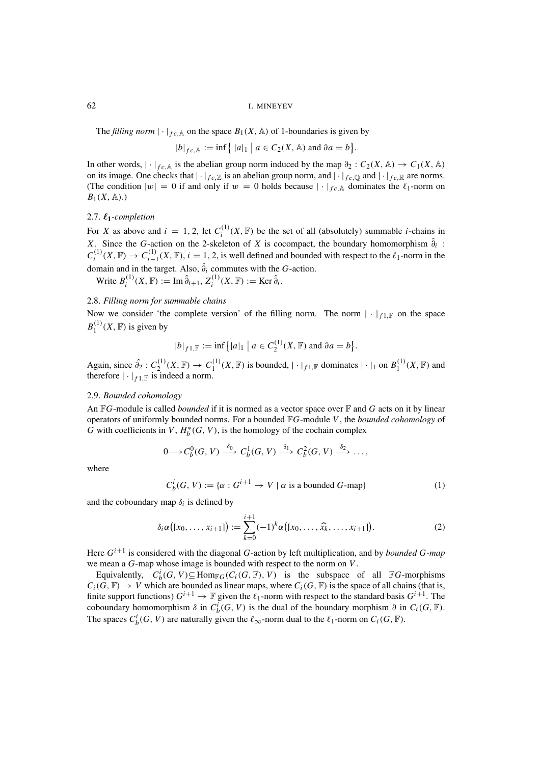The *filling norm*  $|\cdot|_{fc, A}$  on the space  $B_1(X, A)$  of 1-boundaries is given by

$$
|b|_{fc,\mathbb{A}} := \inf \{ |a|_1 | a \in C_2(X,\mathbb{A}) \text{ and } \partial a = b \}.
$$

In other words,  $|\cdot|_{fc, A}$  is the abelian group norm induced by the map  $\partial_2 : C_2(X, A) \to C_1(X, A)$ on its image. One checks that  $|\cdot|_{fc,\mathbb{Z}}$  is an abelian group norm, and  $|\cdot|_{fc,\mathbb{Q}}$  and  $|\cdot|_{fc,\mathbb{R}}$  are norms. (The condition  $|w| = 0$  if and only if  $w = 0$  holds because  $|\cdot|_{fc}$  dominates the  $\ell_1$ -norm on  $B_1(X, A)$ .)

# 2.7.  $\ell_1$ -completion

For *X* as above and  $i = 1, 2$ , let  $C_i^{(1)}(X, \mathbb{F})$  be the set of all (absolutely) summable *i*-chains in *X*. Since the *G*-action on the 2-skeleton of *X* is cocompact, the boundary homomorphism  $\hat{\theta}_i$ :  $C_i^{(1)}(X,\mathbb{F}) \to C_{i-1}^{(1)}(X,\mathbb{F})$ ,  $i = 1, 2$ , is well defined and bounded with respect to the  $\ell_1$ -norm in the domain and in the target. Also,  $\hat{\partial}_i$  commutes with the *G*-action.

 $W$ rite  $B_i^{(1)}(X, \mathbb{F}) := \text{Im } \hat{\partial}_{i+1}, Z_i^{(1)}(X, \mathbb{F}) := \text{Ker } \hat{\partial}_i.$ 

# 2.8. *Filling norm for summable chains*

Now we consider 'the complete version' of the filling norm. The norm  $|\cdot|_{f \perp \mathbb{F}}$  on the space  $B_1^{(1)}(X,\mathbb{F})$  is given by

$$
|b|_{f1,\mathbb{F}} := \inf \{|a|_1 | a \in C_2^{(1)}(X, \mathbb{F}) \text{ and } \partial a = b\}.
$$

Again, since  $\hat{\partial}_2: C_2^{(1)}(X,\mathbb{F}) \to C_1^{(1)}(X,\mathbb{F})$  is bounded,  $|\cdot|_{f_1,\mathbb{F}}$  dominates  $|\cdot|_1$  on  $B_1^{(1)}(X,\mathbb{F})$  and therefore  $|\cdot|_{f_1,\mathbb{F}}$  is indeed a norm.

# 2.9. *Bounded cohomology*

An F*G*-module is called *bounded* if it is normed as a vector space over F and *G* acts on it by linear operators of uniformly bounded norms. For a bounded F*G*-module *V*, the *bounded cohomology* of  $\tilde{G}$  with coefficients in  $V$ ,  $H_b^*(G, V)$ , is the homology of the cochain complex

$$
0 \longrightarrow C_b^0(G, V) \stackrel{\delta_0}{\longrightarrow} C_b^1(G, V) \stackrel{\delta_1}{\longrightarrow} C_b^2(G, V) \stackrel{\delta_2}{\longrightarrow} \dots,
$$

where

$$
C_b^i(G, V) := \{ \alpha : G^{i+1} \to V \mid \alpha \text{ is a bounded } G\text{-map} \}
$$
 (1)

and the coboundary map  $\delta_i$  is defined by

$$
\delta_i \alpha([x_0, \ldots, x_{i+1}]) := \sum_{k=0}^{i+1} (-1)^k \alpha([x_0, \ldots, \widehat{x_k}, \ldots, x_{i+1}]). \tag{2}
$$

Here *Gi*+<sup>1</sup> is considered with the diagonal *G*-action by left multiplication, and by *bounded G-map* we mean a *G*-map whose image is bounded with respect to the norm on *V*.

Equivalently,  $C_b^i(G, V) \subseteq \text{Hom}_{\mathbb{F}G}(C_i(G, \mathbb{F}), V)$  is the subspace of all  $\mathbb{F}G$ -morphisms  $C_i(G, \mathbb{F}) \to V$  which are bounded as linear maps, where  $C_i(G, \mathbb{F})$  is the space of all chains (that is, finite support functions)  $G^{i+1} \to \mathbb{F}$  given the  $\ell_1$ -norm with respect to the standard basis  $G^{i+1}$ . The coboundary homomorphism  $\delta$  in  $C_b^i(G, V)$  is the dual of the boundary morphism  $\partial$  in  $C_i(G, \mathbb{F})$ . The spaces  $C_b^i(G, V)$  are naturally given the  $\ell_{\infty}$ -norm dual to the  $\ell_1$ -norm on  $C_i(G, \mathbb{F})$ .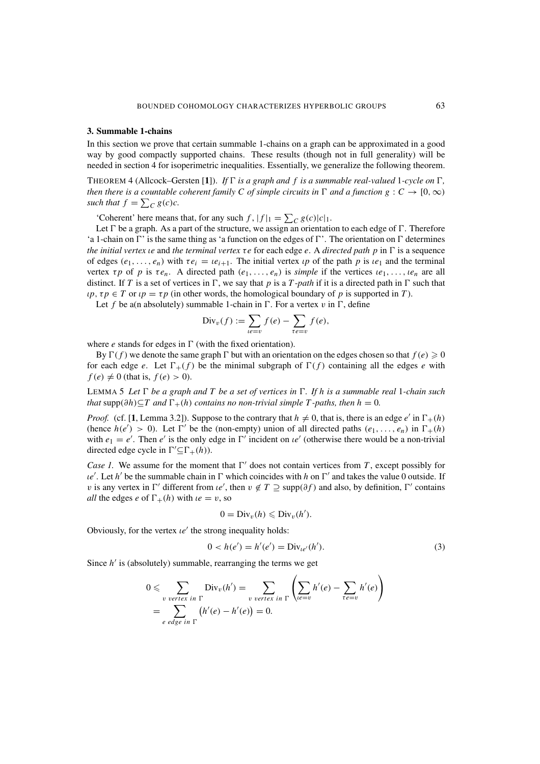## **3. Summable 1-chains**

In this section we prove that certain summable 1-chains on a graph can be approximated in a good way by good compactly supported chains. These results (though not in full generality) will be needed in section 4 for isoperimetric inequalities. Essentially, we generalize the following theorem.

THEOREM 4 (Allcock–Gersten [1]). *If*  $\Gamma$  *is a graph and*  $f$  *is a summable real-valued* 1-cycle on  $\Gamma$ , *then there is a countable coherent family C of simple circuits in*  $\Gamma$  *and a function*  $g : C \to [0, \infty)$ *such that*  $f = \sum_{C} g(c)c$ .

'Coherent' here means that, for any such  $f$ ,  $|f|_1 = \sum_C g(c)|c|_1$ .

Let  $\Gamma$  be a graph. As a part of the structure, we assign an orientation to each edge of  $\Gamma$ . Therefore 'a 1-chain on  $\Gamma$ ' is the same thing as 'a function on the edges of  $\Gamma$ '. The orientation on  $\Gamma$  determines *the initial vertex ie and the terminal vertex τe* for each edge *e*. A *directed path p* in Γ is a sequence of edges  $(e_1, \ldots, e_n)$  with  $\tau e_i = ie_{i+1}$ . The initial vertex  $\iota p$  of the path  $p$  is  $\iota e_1$  and the terminal vertex  $\tau p$  of  $p$  is  $\tau e_n$ . A directed path  $(e_1, \ldots, e_n)$  is *simple* if the vertices  $i e_1, \ldots, i e_n$  are all distinct. If *T* is a set of vertices in  $\Gamma$ , we say that *p* is a *T*-*path* if it is a directed path in  $\Gamma$  such that *ιp*,  $\tau p \in T$  or  $\iota p = \tau p$  (in other words, the homological boundary of *p* is supported in *T*).

Let f be a(n absolutely) summable 1-chain in  $\Gamma$ . For a vertex v in  $\Gamma$ , define

$$
\mathrm{Div}_v(f) := \sum_{\ell e = v} f(e) - \sum_{\tau e = v} f(e),
$$

where  $e$  stands for edges in  $\Gamma$  (with the fixed orientation).

By  $\Gamma(f)$  we denote the same graph  $\Gamma$  but with an orientation on the edges chosen so that  $f(e) \ge 0$ for each edge *e*. Let  $\Gamma_+(f)$  be the minimal subgraph of  $\Gamma(f)$  containing all the edges *e* with  $f(e) \neq 0$  (that is,  $f(e) > 0$ ).

LEMMA 5 Let  $\Gamma$  be a graph and T be a set of vertices in  $\Gamma$ . If h is a summable real 1-chain such *that* supp $(\partial h) \subset T$  *and*  $\Gamma_+(h)$  *contains no non-trivial simple*  $T$ -paths, then  $h = 0$ .

*Proof.* (cf. [1, Lemma 3.2]). Suppose to the contrary that  $h \neq 0$ , that is, there is an edge *e'* in  $\Gamma_+(h)$ (hence  $h(e') > 0$ ). Let  $\Gamma'$  be the (non-empty) union of all directed paths  $(e_1, \ldots, e_n)$  in  $\Gamma_+(h)$ with  $e_1 = e'$ . Then  $e'$  is the only edge in  $\Gamma'$  incident on  $ie'$  (otherwise there would be a non-trivial directed edge cycle in  $\Gamma' \subseteq \Gamma_+(h)$ ).

*Case 1.* We assume for the moment that  $\Gamma'$  does not contain vertices from *T*, except possibly for  $ue'$ . Let *h'* be the summable chain in  $\Gamma$  which coincides with *h* on  $\Gamma'$  and takes the value 0 outside. If *v* is any vertex in  $\Gamma'$  different from *ie'*, then  $v \notin T \supseteq \text{supp}(\partial f)$  and also, by definition,  $\Gamma'$  contains *all* the edges *e* of  $\Gamma_+(h)$  with  $ie = v$ , so

$$
0 = \mathrm{Div}_v(h) \leqslant \mathrm{Div}_v(h').
$$

Obviously, for the vertex  $\iota e'$  the strong inequality holds:

$$
0 < h(e') = h'(e') = \text{Div}_{le'}(h'). \tag{3}
$$

Since *h'* is (absolutely) summable, rearranging the terms we get

$$
0 \leqslant \sum_{\substack{v \text{ vertex in } \Gamma}} \text{Div}_v(h') = \sum_{\substack{v \text{ vertex in } \Gamma}} \left( \sum_{\substack{le=v}} h'(e) - \sum_{\tau e = v} h'(e) \right)
$$
  
= 
$$
\sum_{e \text{ edge in } \Gamma} \left( h'(e) - h'(e) \right) = 0.
$$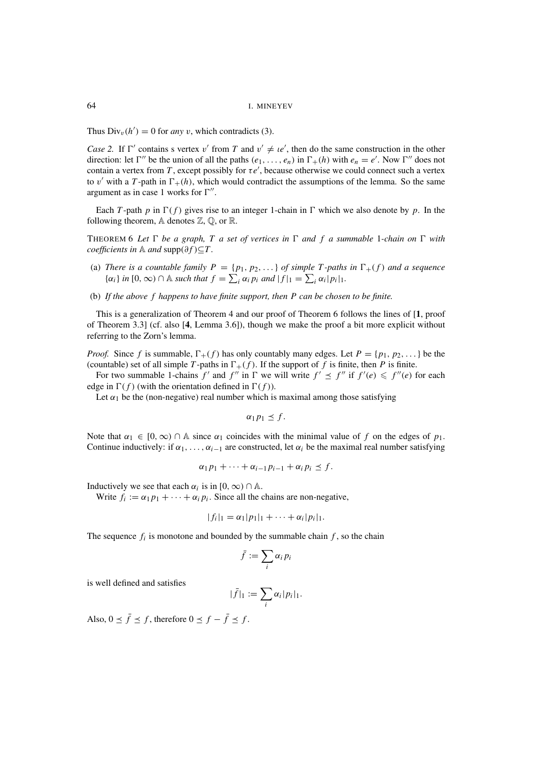Thus  $Div_v(h') = 0$  for *any* v, which contradicts (3).

*Case 2.* If  $\Gamma'$  contains s vertex v' from *T* and  $v' \neq \{e\}$ , then do the same construction in the other direction: let  $\Gamma''$  be the union of all the paths  $(e_1, \ldots, e_n)$  in  $\Gamma_+(h)$  with  $e_n = e'$ . Now  $\Gamma''$  does not contain a vertex from *T*, except possibly for  $\tau e'$ , because otherwise we could connect such a vertex to v' with a *T*-path in  $\Gamma_+(h)$ , which would contradict the assumptions of the lemma. So the same argument as in case 1 works for  $\Gamma''$ .

Each *T*-path *p* in  $\Gamma(f)$  gives rise to an integer 1-chain in  $\Gamma$  which we also denote by *p*. In the following theorem,  $A$  denotes  $\mathbb{Z}, \mathbb{Q}$ , or  $\mathbb{R}$ .

THEOREM 6 Let  $\Gamma$  be a graph, T a set of vertices in  $\Gamma$  and f a summable 1-chain on  $\Gamma$  with *coefficients in*  $\mathbb A$  *and*  $\text{supp}(\partial f) \subset T$ .

- (a) *There is a countable family*  $P = \{p_1, p_2, ...\}$  *of simple T-paths in*  $\Gamma_+(f)$  *and a sequence*  $\{\alpha_i\}$  *in*  $[0, \infty) \cap \mathbb{A}$  *such that*  $f = \sum_i \alpha_i p_i$  *and*  $|f|_1 = \sum_i \alpha_i |p_i|_1$ .
- (b) *If the above f happens to have finite support, then P can be chosen to be finite.*

This is a generalization of Theorem 4 and our proof of Theorem 6 follows the lines of [**1**, proof of Theorem 3.3] (cf. also [**4**, Lemma 3.6]), though we make the proof a bit more explicit without referring to the Zorn's lemma.

*Proof.* Since f is summable,  $\Gamma_{+}(f)$  has only countably many edges. Let  $P = \{p_1, p_2, ...\}$  be the (countable) set of all simple *T*-paths in  $\Gamma_+(f)$ . If the support of *f* is finite, then *P* is finite.

For two summable 1-chains  $f'$  and  $f''$  in  $\Gamma$  we will write  $f' \leq f''$  if  $f'(e) \leq f''(e)$  for each edge in  $\Gamma(f)$  (with the orientation defined in  $\Gamma(f)$ ).

Let  $\alpha_1$  be the (non-negative) real number which is maximal among those satisfying

$$
\alpha_1 p_1 \leq f.
$$

Note that  $\alpha_1 \in [0, \infty) \cap \mathbb{A}$  since  $\alpha_1$  coincides with the minimal value of f on the edges of  $p_1$ . Continue inductively: if  $\alpha_1, \ldots, \alpha_{i-1}$  are constructed, let  $\alpha_i$  be the maximal real number satisfying

$$
\alpha_1p_1+\cdots+\alpha_{i-1}p_{i-1}+\alpha_i p_i\leq f.
$$

Inductively we see that each  $\alpha_i$  is in [0,  $\infty$ )  $\cap$  A.

Write  $f_i := \alpha_1 p_1 + \cdots + \alpha_i p_i$ . Since all the chains are non-negative,

$$
|f_i|_1 = \alpha_1 |p_1|_1 + \cdots + \alpha_i |p_i|_1.
$$

The sequence  $f_i$  is monotone and bounded by the summable chain  $f$ , so the chain

$$
\bar{f} := \sum_i \alpha_i p_i
$$

is well defined and satisfies

$$
|\bar{f}|_1 := \sum_i \alpha_i |p_i|_1.
$$

Also,  $0 \le \bar{f} \le f$ , therefore  $0 \le f - \bar{f} \le f$ .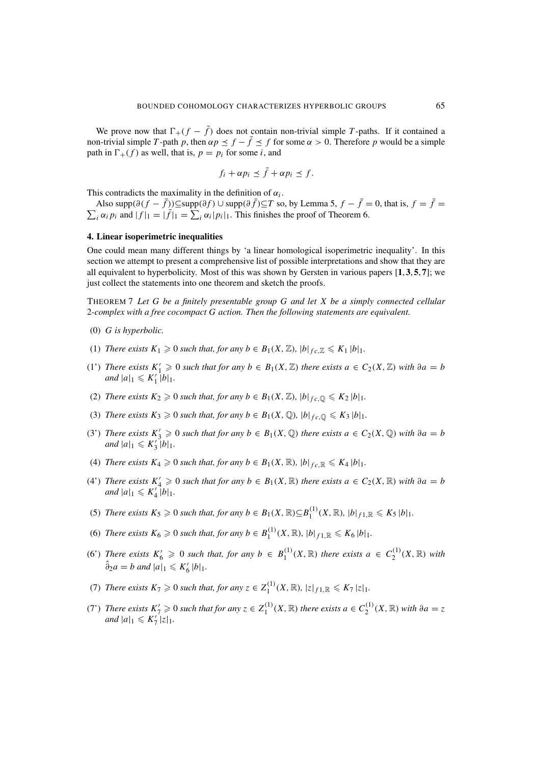We prove now that  $\Gamma_+(f - \bar{f})$  does not contain non-trivial simple *T*-paths. If it contained a non-trivial simple *T*-path *p*, then  $\alpha p \leq f - \overline{f} \leq f$  for some  $\alpha > 0$ . Therefore *p* would be a simple path in  $\Gamma_+(f)$  as well, that is,  $p = p_i$  for some *i*, and

$$
f_i + \alpha p_i \leq \bar{f} + \alpha p_i \leq f.
$$

This contradicts the maximality in the definition of  $\alpha_i$ .

Also supp $(\partial (f - \bar{f}))$ ⊆supp $(\partial f)$  ∪ supp $(\partial \bar{f})$ ⊆*T* so, by Lemma 5,  $f - \bar{f} = 0$ , that is,  $f = \bar{f} =$  $\sum_i \alpha_i p_i$  and  $|f|_1 = |\tilde{f}|_1 = \sum_i \alpha_i |p_i|_1$ . This finishes the proof of Theorem 6.

## **4. Linear isoperimetric inequalities**

One could mean many different things by 'a linear homological isoperimetric inequality'. In this section we attempt to present a comprehensive list of possible interpretations and show that they are all equivalent to hyperbolicity. Most of this was shown by Gersten in various papers [**1**, **3**, **5**, **7**]; we just collect the statements into one theorem and sketch the proofs.

THEOREM 7 *Let G be a finitely presentable group G and let X be a simply connected cellular* 2*-complex with a free cocompact G action. Then the following statements are equivalent.*

- (0) *G is hyperbolic.*
- (1) *There exists*  $K_1 \geq 0$  *such that, for any*  $b \in B_1(X, \mathbb{Z})$ *,*  $|b|_{fc, \mathbb{Z}} \leq K_1 |b|_1$ *.*
- (1') *There exists*  $K'_1$  ≥ 0 *such that for any*  $b \in B_1(X, \mathbb{Z})$  *there exists*  $a \in C_2(X, \mathbb{Z})$  *with*  $\partial a = b$ *and*  $|a|_1 \leqslant K'_1 |b|_1$ .
- (2) *There exists*  $K_2 \geq 0$  *such that, for any*  $b \in B_1(X, \mathbb{Z})$ *,*  $|b|_{fc, \mathbb{Q}} \leq K_2 |b|_1$ *.*
- (3) *There exists*  $K_3 \geq 0$  *such that, for any*  $b \in B_1(X, \mathbb{Q})$ *,*  $|b|_{fc, \mathbb{Q}} \leq K_3 |b|_1$ *.*
- (3') *There exists*  $K'_3 \geq 0$  *such that for any*  $b \in B_1(X, \mathbb{Q})$  *there exists*  $a \in C_2(X, \mathbb{Q})$  *with*  $\partial a = b$ *and*  $|a|_1 \leqslant K'_3 \, |b|_1$ .
- (4) *There exists*  $K_4 \geq 0$  *such that, for any*  $b \in B_1(X, \mathbb{R})$ *,*  $|b|_{fc, \mathbb{R}} \leq K_4 |b|_1$ *.*
- (4') *There exists*  $K_4 \geq 0$  *such that for any*  $b \in B_1(X, \mathbb{R})$  *there exists*  $a \in C_2(X, \mathbb{R})$  *with*  $\partial a = b$ *and*  $|a|_1 \leqslant K'_4 \overline{|b|_1}.$
- (5) *There exists*  $K_5 \geq 0$  *such that, for any*  $b \in B_1(X, \mathbb{R}) \subseteq B_1^{(1)}(X, \mathbb{R})$ ,  $|b|_{f1, \mathbb{R}} \leq K_5 |b|_1$ .
- (6) *There exists*  $K_6 \ge 0$  *such that, for any*  $b \in B_1^{(1)}(X, \mathbb{R})$ *,*  $|b|_{f1, \mathbb{R}} \le K_6 |b|_1$ *.*
- (6) *There exists*  $K_6 \geq 0$  such that, for any  $b \in B_1^{(1)}(X,\mathbb{R})$  there exists  $a \in C_2^{(1)}(X,\mathbb{R})$  with  $\hat{\partial}_2 a = b \text{ and } |a|_1 \leqslant K_6' |b|_1.$
- (7) *There exists*  $K_7 \ge 0$  *such that, for any*  $z \in Z_1^{(1)}(X, \mathbb{R})$ ,  $|z|_{f1, \mathbb{R}} \le K_7 |z|_1$ .
- (7) *There exists*  $K'_7 \ge 0$  *such that for any*  $z \in Z_1^{(1)}(X, \mathbb{R})$  *there exists*  $a \in C_2^{(1)}(X, \mathbb{R})$  *with*  $\partial a = z$ *and*  $|a|_1 \leqslant K'_7 \mid z|_1$ .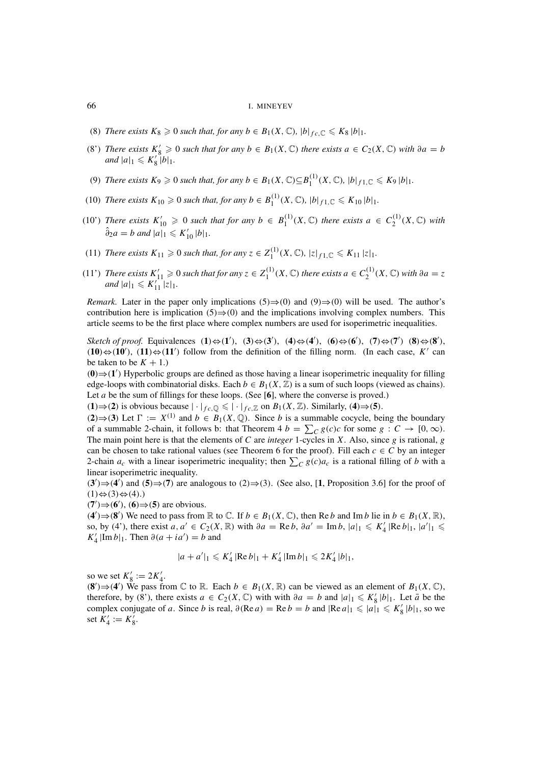#### 66 I. MINEYEV

- (8) *There exists*  $K_8 \geq 0$  *such that, for any*  $b \in B_1(X, \mathbb{C})$ *,*  $|b|_{fc, \mathbb{C}} \leq K_8 |b|_1$ *.*
- (8') *There exists*  $K'_8 \geq 0$  *such that for any*  $b \in B_1(X, \mathbb{C})$  *there exists*  $a \in C_2(X, \mathbb{C})$  *with*  $\partial a = b$ *and*  $|a|_1 \leqslant K'_8 \rvert b|_1$ .
- (9) *There exists*  $K_9 \geq 0$  *such that, for any*  $b \in B_1(X, \mathbb{C}) \subseteq B_1^{(1)}(X, \mathbb{C})$ ,  $|b|_{f1, \mathbb{C}} \leq K_9 |b|_1$ .
- (10) *There exists*  $K_{10} \ge 0$  *such that, for any*  $b \in B_1^{(1)}(X, \mathbb{C})$ ,  $|b|_{f,1,\mathbb{C}} \le K_{10} |b|_1$ .
- (10') *There exists*  $K'_{10} \geq 0$  such that for any  $b \in B_1^{(1)}(X, \mathbb{C})$  there exists  $a \in C_2^{(1)}(X, \mathbb{C})$  with  $\hat{\partial}_2 a = b \text{ and } |a|_1 \leqslant K'_{10} |b|_1.$
- (11) *There exists*  $K_{11} \geq 0$  *such that, for any*  $z \in Z_1^{(1)}(X, \mathbb{C})$ ,  $|z|_{f1,\mathbb{C}} \leq K_{11} |z|_1$ .
- (11') *There exists*  $K'_{11}$  ≥ 0 *such that for any*  $z \in Z_1^{(1)}(X, \mathbb{C})$  *there exists*  $a \in C_2^{(1)}(X, \mathbb{C})$  *with*  $\partial a = z$ *and*  $|a|_1 \leqslant K_{11}^{T} |z|_1$ .

*Remark.* Later in the paper only implications (5) $\Rightarrow$ (0) and (9) $\Rightarrow$ (0) will be used. The author's contribution here is implication  $(5) \Rightarrow (0)$  and the implications involving complex numbers. This article seems to be the first place where complex numbers are used for isoperimetric inequalities.

 $S$ ketch of proof. Equivalences  $(1) \Leftrightarrow (1')$ ,  $(3) \Leftrightarrow (3')$ ,  $(4) \Leftrightarrow (4')$ ,  $(6) \Leftrightarrow (6')$ ,  $(7) \Leftrightarrow (7')$   $(8) \Leftrightarrow (8')$ ,  $(10)$   $\Leftrightarrow$   $(10')$ ,  $(11)$   $\Leftrightarrow$   $(11')$  follow from the definition of the filling norm. (In each case, *K'* can be taken to be  $K + 1$ .)

(**0**)⇒(**1** ) Hyperbolic groups are defined as those having a linear isoperimetric inequality for filling edge-loops with combinatorial disks. Each  $b \in B_1(X, \mathbb{Z})$  is a sum of such loops (viewed as chains). Let *a* be the sum of fillings for these loops. (See [6], where the converse is proved.)

 $(1) \Rightarrow (2)$  is obvious because  $|\cdot|_{fc,\mathbb{Q}} \leq |\cdot|_{fc,\mathbb{Z}}$  on  $B_1(X,\mathbb{Z})$ . Similarly,  $(4) \Rightarrow (5)$ .

(**2**) ⇒(**3**) Let  $\Gamma := X^{(1)}$  and  $b \in B_1(X, \mathbb{Q})$ . Since *b* is a summable cocycle, being the boundary of a summable 2-chain, it follows b: that Theorem 4  $b = \sum_{C} g(c)c$  for some  $g : C \to [0, \infty)$ . The main point here is that the elements of *C* are *integer* 1-cycles in *X*. Also, since *g* is rational, *g* can be chosen to take rational values (see Theorem 6 for the proof). Fill each  $c \in C$  by an integer 2-chain  $a_c$  with a linear isoperimetric inequality; then  $\sum_C g(c)a_c$  is a rational filling of *b* with a linear isoperimetric inequality.

 $(3')\Rightarrow (4')$  and  $(5) \Rightarrow (7)$  are analogous to  $(2) \Rightarrow (3)$ . (See also, [1, Proposition 3.6] for the proof of  $(1) \Leftrightarrow (3) \Leftrightarrow (4)$ .)

 $(7')$   $\Rightarrow$   $(6')$ ,  $(6) \Rightarrow$   $(5)$  are obvious.

 $(4') \rightarrow (8')$  We need to pass from ℝ to ℂ. If  $b \in B_1(X, \mathbb{C})$ , then Re *b* and Im *b* lie in  $b \in B_1(X, \mathbb{R})$ , so, by (4'), there exist  $a, a' \in C_2(X, \mathbb{R})$  with  $\partial a = \text{Re } b, \partial a' = \text{Im } b, |a|_1 \leq K'_4 |\text{Re } b|_1, |a'|_1 \leq$  $K_4'$  |Im *b*|<sub>1</sub>. Then  $\partial(a + ia') = b$  and

$$
|a+a'|_1 \leqslant K'_4 |\text{Re } b|_1 + K'_4 |\text{Im } b|_1 \leqslant 2K'_4 |b|_1,
$$

so we set  $K'_8 := 2K'_4$ .

(**8**<sup> $\prime$ </sup>)  $\rightarrow$  (**4**<sup> $\prime$ </sup>) We pass from ℂ to ℝ. Each  $b \in B_1(X, \mathbb{R})$  can be viewed as an element of  $B_1(X, \mathbb{C})$ , therefore, by (8'), there exists  $a \in C_2(X, \mathbb{C})$  with with  $\partial a = b$  and  $|a|_1 \leqslant K'_8 |b|_1$ . Let  $\bar{a}$  be the complex conjugate of *a*. Since *b* is real,  $\partial(\text{Re } a) = \text{Re } b = b$  and  $|\text{Re } a|_1 \leq a_1 \leq K_8' |b|_1$ , so we set  $K_4' := K_8'$ .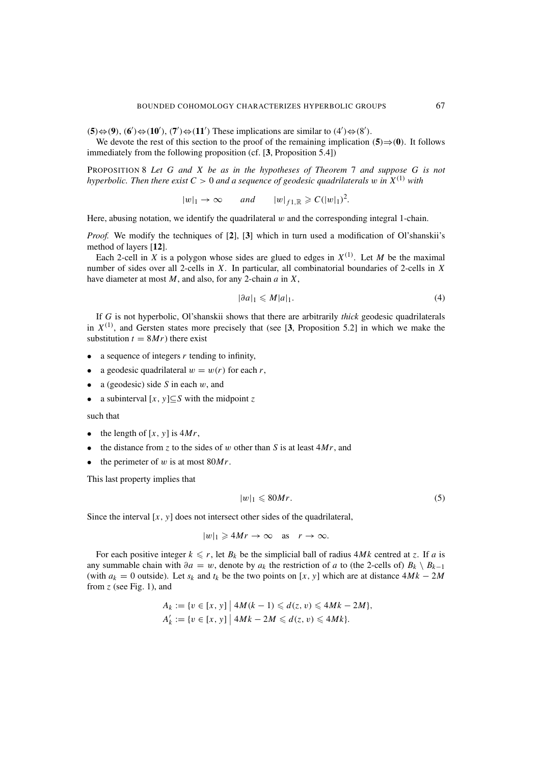$(5) \Leftrightarrow (9)$ ,  $(6') \Leftrightarrow (10')$ ,  $(7') \Leftrightarrow (11')$  These implications are similar to  $(4') \Leftrightarrow (8')$ .

We devote the rest of this section to the proof of the remaining implication  $(5) \Rightarrow (0)$ . It follows immediately from the following proposition (cf. [**3**, Proposition 5.4])

PROPOSITION 8 *Let G and X be as in the hypotheses of Theorem* 7 *and suppose G is not hyperbolic. Then there exist*  $C > 0$  *and a sequence of geodesic quadrilaterals* w *in*  $X^{(1)}$  *with* 

 $|w|_1 \to \infty$  *and*  $|w|_{f1,\mathbb{R}} \geqslant C(|w|_1)^2$ .

Here, abusing notation, we identify the quadrilateral  $w$  and the corresponding integral 1-chain.

*Proof.* We modify the techniques of [**2**], [**3**] which in turn used a modification of Ol'shanskii's method of layers [**12**].

Each 2-cell in *X* is a polygon whose sides are glued to edges in  $X^{(1)}$ . Let *M* be the maximal number of sides over all 2-cells in *X*. In particular, all combinatorial boundaries of 2-cells in *X* have diameter at most *M*, and also, for any 2-chain *a* in *X*,

$$
|\partial a|_1 \leqslant M|a|_1. \tag{4}
$$

If *G* is not hyperbolic, Ol'shanskii shows that there are arbitrarily *thick* geodesic quadrilaterals in  $X^{(1)}$ , and Gersten states more precisely that (see [3, Proposition 5.2] in which we make the substitution  $t = 8Mr$ ) there exist

- a sequence of integers *r* tending to infinity,
- a geodesic quadrilateral  $w = w(r)$  for each *r*,
- a (geodesic) side  $S$  in each  $w$ , and
- a subinterval  $[x, y] \subseteq S$  with the midpoint z

such that

- the length of  $[x, y]$  is  $4Mr$ ,
- the distance from  $z$  to the sides of  $w$  other than  $S$  is at least  $4Mr$ , and
- the perimeter of  $w$  is at most  $80Mr$ .

This last property implies that

$$
|w|_1 \leqslant 80Mr.\tag{5}
$$

Since the interval [*x*, *y*] does not intersect other sides of the quadrilateral,

$$
|w|_1 \geq 4Mr \to \infty \quad \text{as} \quad r \to \infty.
$$

For each positive integer  $k \leq r$ , let  $B_k$  be the simplicial ball of radius  $4Mk$  centred at *z*. If *a* is any summable chain with  $\partial a = w$ , denote by  $a_k$  the restriction of *a* to (the 2-cells of)  $B_k \setminus B_{k-1}$ (with  $a_k = 0$  outside). Let  $s_k$  and  $t_k$  be the two points on [x, y] which are at distance  $4Mk - 2M$ from *z* (see Fig. 1), and

$$
A_k := \{ v \in [x, y] \mid 4M(k - 1) \le d(z, v) \le 4Mk - 2M \},
$$
  
\n
$$
A'_k := \{ v \in [x, y] \mid 4Mk - 2M \le d(z, v) \le 4Mk \}.
$$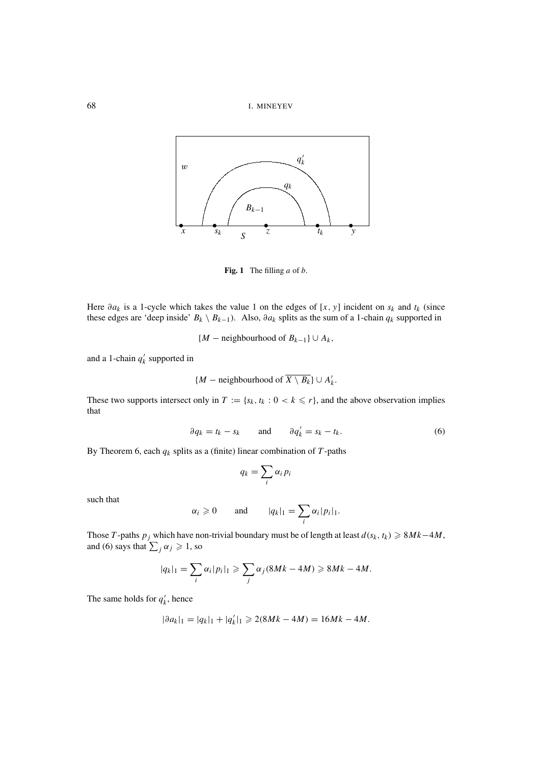



**Fig. 1** The filling *a* of *b*.

Here  $\partial a_k$  is a 1-cycle which takes the value 1 on the edges of [x, y] incident on  $s_k$  and  $t_k$  (since these edges are 'deep inside'  $B_k \setminus B_{k-1}$ . Also,  $\partial a_k$  splits as the sum of a 1-chain  $q_k$  supported in

$$
{M - neighborhood of B_{k-1}} \cup A_k
$$
,

and a 1-chain  $q'_k$  supported in

$$
{M
$$
 – neighbourhood of  $\overline{X \setminus B_k}$   $\cup$   $A'_k$ .

These two supports intersect only in  $T := \{s_k, t_k : 0 < k \leq r\}$ , and the above observation implies that

$$
\partial q_k = t_k - s_k \quad \text{and} \quad \partial q'_k = s_k - t_k. \tag{6}
$$

By Theorem 6, each  $q_k$  splits as a (finite) linear combination of  $T$ -paths

$$
q_k = \sum_i \alpha_i p_i
$$

such that

$$
\alpha_i \geq 0
$$
 and  $|q_k|_1 = \sum_i \alpha_i |p_i|_1$ .

Those *T*-paths  $p_j$  which have non-trivial boundary must be of length at least  $d(s_k, t_k) \ge 8Mk-4M$ , and (6) says that  $\sum_j \alpha_j \geq 1$ , so

$$
|q_k|_1 = \sum_i \alpha_i |p_i|_1 \geqslant \sum_j \alpha_j (8Mk - 4M) \geqslant 8Mk - 4M.
$$

The same holds for  $q'_k$ , hence

$$
|\partial a_k|_1 = |q_k|_1 + |q'_k|_1 \geqslant 2(8Mk - 4M) = 16Mk - 4M.
$$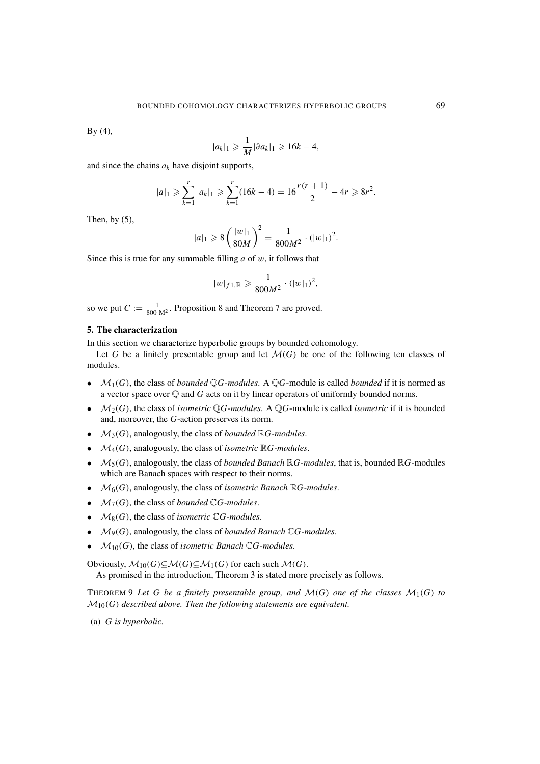By (4),

$$
|a_k|_1 \geqslant \frac{1}{M} |\partial a_k|_1 \geqslant 16k - 4,
$$

and since the chains *ak* have disjoint supports,

$$
|a|_1 \geqslant \sum_{k=1}^r |a_k|_1 \geqslant \sum_{k=1}^r (16k - 4) = 16 \frac{r(r+1)}{2} - 4r \geqslant 8r^2.
$$

Then, by  $(5)$ ,

$$
|a|_1 \geq 8\left(\frac{|w|_1}{80M}\right)^2 = \frac{1}{800M^2} \cdot (|w|_1)^2.
$$

Since this is true for any summable filling *a* of w, it follows that

$$
|w|_{f1,\mathbb{R}} \geqslant \frac{1}{800M^2} \cdot (|w|_1)^2,
$$

so we put  $C := \frac{1}{800 M^2}$ . Proposition 8 and Theorem 7 are proved.

# **5. The characterization**

In this section we characterize hyperbolic groups by bounded cohomology.

Let G be a finitely presentable group and let  $\mathcal{M}(G)$  be one of the following ten classes of modules.

- $M_1(G)$ , the class of *bounded*  $\mathbb{Q}G$ -modules. A  $\mathbb{Q}G$ -module is called *bounded* if it is normed as a vector space over  $\mathbb Q$  and  $G$  acts on it by linear operators of uniformly bounded norms.
- $M_2(G)$ , the class of *isometric* QG-modules. A QG-module is called *isometric* if it is bounded and, moreover, the *G*-action preserves its norm.
- $M_3(G)$ , analogously, the class of *bounded*  $\mathbb{R}G$ -modules.
- $M_4(G)$ , analogously, the class of *isometric*  $\mathbb{R}G$ -modules.
- $M_5(G)$ , analogously, the class of *bounded Banach*  $\mathbb{R}G$ -modules, that is, bounded  $\mathbb{R}G$ -modules which are Banach spaces with respect to their norms.
- M6(*G*), analogously, the class of *isometric Banach* R*G-modules*.
- $M_7(G)$ , the class of *bounded*  $\mathbb{C}G$ -modules.
- $M_8(G)$ , the class of *isometric*  $\mathbb{C}G$ -modules.
- M9(*G*), analogously, the class of *bounded Banach* C*G-modules*.
- $M_{10}(G)$ , the class of *isometric Banach* C*G-modules*.

Obviously,  $M_{10}(G)$ ⊆ $M(G)$ ⊆ $M_1(G)$  for each such  $M(G)$ . As promised in the introduction, Theorem 3 is stated more precisely as follows.

THEOREM 9 Let G be a finitely presentable group, and  $\mathcal{M}(G)$  one of the classes  $\mathcal{M}_1(G)$  to  $\mathcal{M}_{10}(G)$  described above. Then the following statements are equivalent.

(a) *G is hyperbolic.*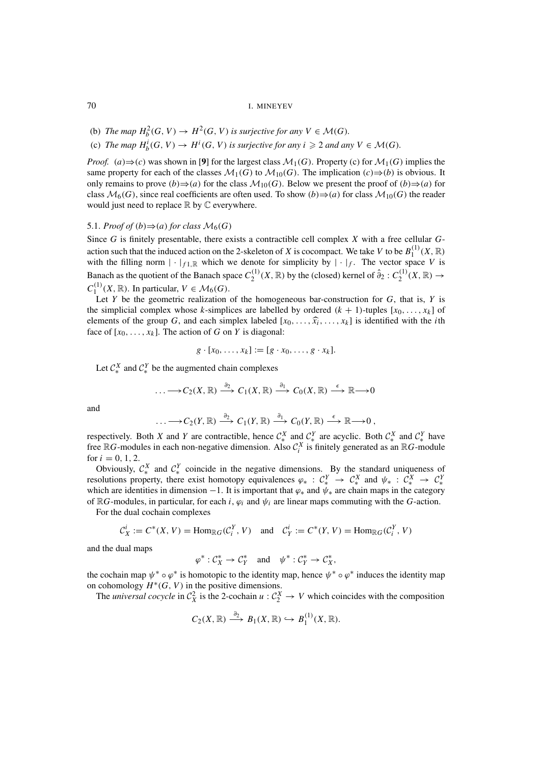- (b) *The map*  $H_b^2(G, V) \to H^2(G, V)$  *is surjective for any*  $V \in \mathcal{M}(G)$ *.*
- (c) *The map*  $H_b^i(G, V) \to H^i(G, V)$  *is surjective for any i*  $\geq 2$  *and any*  $V \in \mathcal{M}(G)$ *.*

*Proof.* (*a*)  $\Rightarrow$  (*c*) was shown in [9] for the largest class  $\mathcal{M}_1(G)$ . Property (*c*) for  $\mathcal{M}_1(G)$  implies the same property for each of the classes  $\mathcal{M}_1(G)$  to  $\mathcal{M}_{10}(G)$ . The implication  $(c) \Rightarrow (b)$  is obvious. It only remains to prove  $(b) \Rightarrow (a)$  for the class  $\mathcal{M}_{10}(G)$ . Below we present the proof of  $(b) \Rightarrow (a)$  for class  $M_6(G)$ , since real coefficients are often used. To show  $(b) \Rightarrow (a)$  for class  $M_{10}(G)$  the reader would just need to replace  $\mathbb R$  by  $\mathbb C$  everywhere.

### 5.1. *Proof of*  $(b) \Rightarrow (a)$  *for class*  $\mathcal{M}_6(G)$

Since *G* is finitely presentable, there exists a contractible cell complex *X* with a free cellular *G*action such that the induced action on the 2-skeleton of *X* is cocompact. We take *V* to be  $B_1^{(1)}(X,\mathbb{R})$ with the filling norm  $|\cdot|_{f_1,\mathbb{R}}$  which we denote for simplicity by  $|\cdot|_f$ . The vector space *V* is Banach as the quotient of the Banach space  $C_2^{(1)}(X, \mathbb{R})$  by the (closed) kernel of  $\hat{\partial}_2 : C_2^{(1)}(X, \mathbb{R}) \to$  $C_1^{(1)}(X,\mathbb{R})$ . In particular,  $V \in \mathcal{M}_6(G)$ .

Let  $Y$  be the geometric realization of the homogeneous bar-construction for  $G$ , that is,  $Y$  is the simplicial complex whose *k*-simplices are labelled by ordered  $(k + 1)$ -tuples  $[x_0, \ldots, x_k]$  of elements of the group *G*, and each simplex labeled  $[x_0, \ldots, \hat{x_i}, \ldots, x_k]$  is identified with the *i*th face of  $[x_0, \ldots, x_k]$ . The action of *G* on *Y* is diagonal:

$$
g \cdot [x_0, \ldots, x_k] := [g \cdot x_0, \ldots, g \cdot x_k].
$$

Let  $C_*^X$  and  $C_*^Y$  be the augmented chain complexes

$$
\ldots \longrightarrow C_2(X,\mathbb{R}) \stackrel{\partial_2}{\longrightarrow} C_1(X,\mathbb{R}) \stackrel{\partial_1}{\longrightarrow} C_0(X,\mathbb{R}) \stackrel{\epsilon}{\longrightarrow} \mathbb{R} \longrightarrow 0
$$

and

$$
\ldots \longrightarrow C_2(Y,\mathbb{R}) \stackrel{\partial_2}{\longrightarrow} C_1(Y,\mathbb{R}) \stackrel{\partial_1}{\longrightarrow} C_0(Y,\mathbb{R}) \stackrel{\epsilon}{\longrightarrow} \mathbb{R} \longrightarrow 0,
$$

respectively. Both *X* and *Y* are contractible, hence  $C_*^X$  and  $C_*^Y$  are acyclic. Both  $C_*^X$  and  $C_*^Y$  have free  $\mathbb{R}G$ -modules in each non-negative dimension. Also  $\mathcal{C}_i^X$  is finitely generated as an  $\mathbb{R}G$ -module for  $i = 0, 1, 2$ .

Obviously,  $C_*^X$  and  $C_*^Y$  coincide in the negative dimensions. By the standard uniqueness of resolutions property, there exist homotopy equivalences  $\varphi_* : C^Y_* \to C^X_*$  and  $\psi_* : C^X_* \to C^Y_*$ which are identities in dimension  $-1$ . It is important that  $\varphi_*$  and  $\psi_*$  are chain maps in the category of  $\mathbb{R}G$ -modules, in particular, for each *i*,  $\varphi_i$  and  $\psi_i$  are linear maps commuting with the *G*-action.

For the dual cochain complexes

$$
\mathcal{C}_X^i := C^*(X, V) = \text{Hom}_{\mathbb{R}G}(\mathcal{C}_i^Y, V) \quad \text{and} \quad \mathcal{C}_Y^i := C^*(Y, V) = \text{Hom}_{\mathbb{R}G}(\mathcal{C}_i^Y, V)
$$

and the dual maps

$$
\varphi^* : \mathcal{C}_X^* \to \mathcal{C}_Y^* \quad \text{and} \quad \psi^* : \mathcal{C}_Y^* \to \mathcal{C}_X^*,
$$

the cochain map  $\psi^* \circ \varphi^*$  is homotopic to the identity map, hence  $\psi^* \circ \varphi^*$  induces the identity map on cohomology  $H^*(G, V)$  in the positive dimensions.

The *universal cocycle* in  $C_X^2$  is the 2-cochain  $u: C_2^X \to V$  which coincides with the composition

$$
C_2(X,\mathbb{R}) \stackrel{\partial_2}{\longrightarrow} B_1(X,\mathbb{R}) \hookrightarrow B_1^{(1)}(X,\mathbb{R}).
$$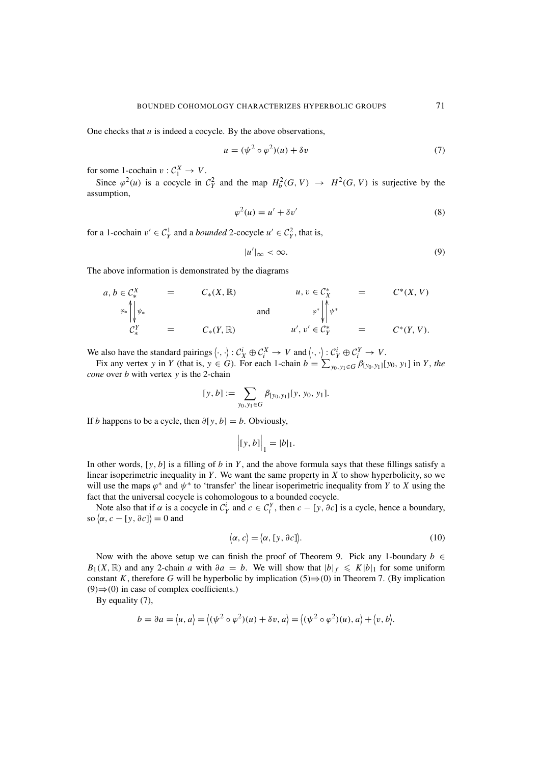One checks that *u* is indeed a cocycle. By the above observations,

$$
u = (\psi^2 \circ \varphi^2)(u) + \delta v \tag{7}
$$

for some 1-cochain  $v: \mathcal{C}_1^X \to V$ .

Since  $\varphi^2(u)$  is a cocycle in  $C_Y^2$  and the map  $H_b^2(G, V) \to H^2(G, V)$  is surjective by the assumption,

$$
\varphi^2(u) = u' + \delta v'
$$
\n(8)

for a 1-cochain  $v' \in C_Y^1$  and a *bounded* 2-cocycle  $u' \in C_Y^2$ , that is,

$$
|u'|_{\infty} < \infty. \tag{9}
$$

The above information is demonstrated by the diagrams

$$
a, b \in \mathcal{C}_{*}^{X} = C_{*}(X, \mathbb{R}) \qquad u, v \in \mathcal{C}_{X}^{*} = C^{*}(X, V)
$$
  
\n
$$
\downarrow_{\mathcal{V}_{*}}^{\mathcal{V}_{*}} = C_{*}(Y, \mathbb{R}) \qquad \text{and} \qquad \downarrow_{\mathcal{V}'}^{\mathcal{V} \doteq \mathcal{V}_{*}^{\mathcal{V}}} \qquad = C^{*}(Y, V).
$$

We also have the standard pairings  $\langle \cdot, \cdot \rangle : C_X^i \oplus C_i^X \to V$  and  $\langle \cdot, \cdot \rangle : C_Y^i \oplus C_i^Y \to V$ .

Fix any vertex *y* in *Y* (that is,  $y \in G$ ). For each 1-chain  $b = \sum_{y_0, y_1 \in G} \beta_{[y_0, y_1]}[y_0, y_1]$  in *Y*, the *cone* over *b* with vertex *y* is the 2-chain

$$
[y, b] := \sum_{y_0, y_1 \in G} \beta_{[y_0, y_1]}[y, y_0, y_1].
$$

If *b* happens to be a cycle, then  $\partial[y, b] = b$ . Obviously,

$$
\Big| [y, b] \Big|_1 = |b|_1.
$$

In other words,  $[y, b]$  is a filling of *b* in *Y*, and the above formula says that these fillings satisfy a linear isoperimetric inequality in *Y* . We want the same property in *X* to show hyperbolicity, so we will use the maps  $\varphi^*$  and  $\psi^*$  to 'transfer' the linear isoperimetric inequality from *Y* to *X* using the fact that the universal cocycle is cohomologous to a bounded cocycle.

Note also that if  $\alpha$  is a cocycle in  $C_Y^i$  and  $c \in C_Y^Y$ , then  $c - [y, \partial c]$  is a cycle, hence a boundary, so  $\langle \alpha, c - [y, \partial c] \rangle = 0$  and

$$
\langle \alpha, c \rangle = \langle \alpha, [y, \partial c] \rangle. \tag{10}
$$

Now with the above setup we can finish the proof of Theorem 9. Pick any 1-boundary  $b \in$ *B*<sub>1</sub>(*X*, ℝ) and any 2-chain *a* with ∂*a* = *b*. We will show that  $|b|_f \le K|b|_1$  for some uniform constant *K*, therefore *G* will be hyperbolic by implication  $(5) \Rightarrow (0)$  in Theorem 7. (By implication  $(9) \Rightarrow (0)$  in case of complex coefficients.)

By equality (7),

$$
b = \partial a = \langle u, a \rangle = \langle (\psi^2 \circ \varphi^2)(u) + \delta v, a \rangle = \langle (\psi^2 \circ \varphi^2)(u), a \rangle + \langle v, b \rangle.
$$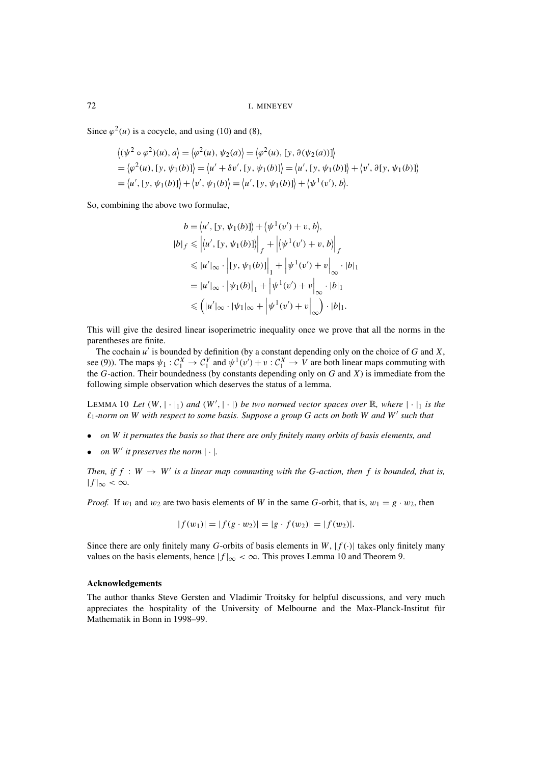72 I. MINEYEV

Since  $\varphi^2(u)$  is a cocycle, and using (10) and (8),

$$
\langle (\psi^2 \circ \varphi^2)(u), a \rangle = \langle \varphi^2(u), \psi_2(a) \rangle = \langle \varphi^2(u), [y, \vartheta(\psi_2(a))] \rangle
$$
  
=  $\langle \varphi^2(u), [y, \psi_1(b)] \rangle = \langle u' + \vartheta v', [y, \psi_1(b)] \rangle = \langle u', [y, \psi_1(b)] \rangle + \langle v', \vartheta[y, \psi_1(b)] \rangle$   
=  $\langle u', [y, \psi_1(b)] \rangle + \langle v', \psi_1(b) \rangle = \langle u', [y, \psi_1(b)] \rangle + \langle \psi^1(v'), b \rangle.$ 

So, combining the above two formulae,

$$
b = \langle u', [y, \psi_1(b)] \rangle + \langle \psi^1(v') + v, b \rangle,
$$
  
\n
$$
|b|_f \le \langle u', [y, \psi_1(b)] \rangle + \langle \psi^1(v') + v, b \rangle|_f
$$
  
\n
$$
\le |u'|_{\infty} \cdot |[y, \psi_1(b)]|_1 + |\psi^1(v') + v|_{\infty} \cdot |b|_1
$$
  
\n
$$
= |u'|_{\infty} \cdot |\psi_1(b)|_1 + |\psi^1(v') + v|_{\infty} \cdot |b|_1
$$
  
\n
$$
\le (|u'|_{\infty} \cdot |\psi_1|_{\infty} + |\psi^1(v') + v|_{\infty}) \cdot |b|_1.
$$

This will give the desired linear isoperimetric inequality once we prove that all the norms in the parentheses are finite.

The cochain *u* is bounded by definition (by a constant depending only on the choice of *G* and *X*, see (9)). The maps  $\psi_1 : C_1^X \to C_1^Y$  and  $\psi^1(v') + v : C_1^X \to V$  are both linear maps commuting with the *G*-action. Their boundedness (by constants depending only on *G* and *X*) is immediate from the following simple observation which deserves the status of a lemma.

LEMMA 10 Let  $(W, |\cdot|_1)$  and  $(W', |\cdot|)$  be two normed vector spaces over  $\mathbb R$ , where  $|\cdot|_1$  is the  $\ell_1$ -norm on W with respect to some basis. Suppose a group G acts on both W and W' such that

- *on W it permutes the basis so that there are only finitely many orbits of basis elements, and*
- *on*  $W'$  *it preserves the norm*  $|\cdot|$ *.*

*Then, if*  $f : W \to W'$  *is a linear map commuting with the G-action, then*  $f$  *is bounded, that is,*  $|f|_{\infty} < \infty$ .

*Proof.* If  $w_1$  and  $w_2$  are two basis elements of *W* in the same *G*-orbit, that is,  $w_1 = g \cdot w_2$ , then

$$
|f(w_1)| = |f(g \cdot w_2)| = |g \cdot f(w_2)| = |f(w_2)|.
$$

Since there are only finitely many *G*-orbits of basis elements in *W*,  $|f(\cdot)|$  takes only finitely many values on the basis elements, hence  $|f|_{\infty} < \infty$ . This proves Lemma 10 and Theorem 9.

#### **Acknowledgements**

The author thanks Steve Gersten and Vladimir Troitsky for helpful discussions, and very much appreciates the hospitality of the University of Melbourne and the Max-Planck-Institut für Mathematik in Bonn in 1998–99.